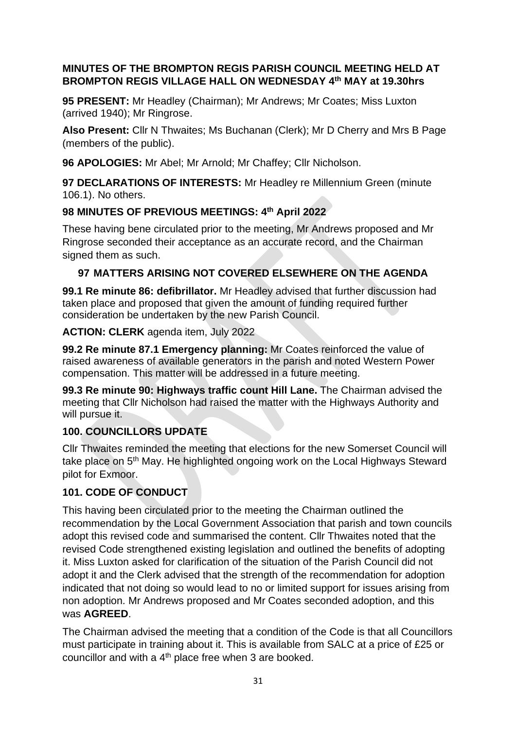## **MINUTES OF THE BROMPTON REGIS PARISH COUNCIL MEETING HELD AT BROMPTON REGIS VILLAGE HALL ON WEDNESDAY 4 th MAY at 19.30hrs**

**95 PRESENT:** Mr Headley (Chairman); Mr Andrews; Mr Coates; Miss Luxton (arrived 1940); Mr Ringrose.

**Also Present:** Cllr N Thwaites; Ms Buchanan (Clerk); Mr D Cherry and Mrs B Page (members of the public).

**96 APOLOGIES:** Mr Abel; Mr Arnold; Mr Chaffey; Cllr Nicholson.

**97 DECLARATIONS OF INTERESTS:** Mr Headley re Millennium Green (minute 106.1). No others.

# **98 MINUTES OF PREVIOUS MEETINGS: 4 th April 2022**

These having bene circulated prior to the meeting, Mr Andrews proposed and Mr Ringrose seconded their acceptance as an accurate record, and the Chairman signed them as such.

# **97 MATTERS ARISING NOT COVERED ELSEWHERE ON THE AGENDA**

**99.1 Re minute 86: defibrillator.** Mr Headley advised that further discussion had taken place and proposed that given the amount of funding required further consideration be undertaken by the new Parish Council.

**ACTION: CLERK** agenda item, July 2022

**99.2 Re minute 87.1 Emergency planning:** Mr Coates reinforced the value of raised awareness of available generators in the parish and noted Western Power compensation. This matter will be addressed in a future meeting.

**99.3 Re minute 90: Highways traffic count Hill Lane.** The Chairman advised the meeting that Cllr Nicholson had raised the matter with the Highways Authority and will pursue it.

# **100. COUNCILLORS UPDATE**

Cllr Thwaites reminded the meeting that elections for the new Somerset Council will take place on 5<sup>th</sup> May. He highlighted ongoing work on the Local Highways Steward pilot for Exmoor.

# **101. CODE OF CONDUCT**

This having been circulated prior to the meeting the Chairman outlined the recommendation by the Local Government Association that parish and town councils adopt this revised code and summarised the content. Cllr Thwaites noted that the revised Code strengthened existing legislation and outlined the benefits of adopting it. Miss Luxton asked for clarification of the situation of the Parish Council did not adopt it and the Clerk advised that the strength of the recommendation for adoption indicated that not doing so would lead to no or limited support for issues arising from non adoption. Mr Andrews proposed and Mr Coates seconded adoption, and this was **AGREED**.

The Chairman advised the meeting that a condition of the Code is that all Councillors must participate in training about it. This is available from SALC at a price of £25 or councillor and with a  $4<sup>th</sup>$  place free when 3 are booked.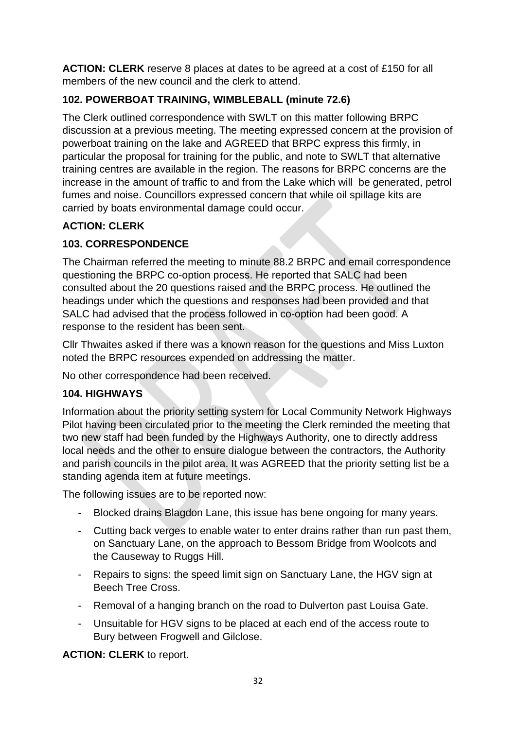**ACTION: CLERK** reserve 8 places at dates to be agreed at a cost of £150 for all members of the new council and the clerk to attend.

# **102. POWERBOAT TRAINING, WIMBLEBALL (minute 72.6)**

The Clerk outlined correspondence with SWLT on this matter following BRPC discussion at a previous meeting. The meeting expressed concern at the provision of powerboat training on the lake and AGREED that BRPC express this firmly, in particular the proposal for training for the public, and note to SWLT that alternative training centres are available in the region. The reasons for BRPC concerns are the increase in the amount of traffic to and from the Lake which will be generated, petrol fumes and noise. Councillors expressed concern that while oil spillage kits are carried by boats environmental damage could occur.

# **ACTION: CLERK**

# **103. CORRESPONDENCE**

The Chairman referred the meeting to minute 88.2 BRPC and email correspondence questioning the BRPC co-option process. He reported that SALC had been consulted about the 20 questions raised and the BRPC process. He outlined the headings under which the questions and responses had been provided and that SALC had advised that the process followed in co-option had been good. A response to the resident has been sent.

Cllr Thwaites asked if there was a known reason for the questions and Miss Luxton noted the BRPC resources expended on addressing the matter.

No other correspondence had been received.

# **104. HIGHWAYS**

Information about the priority setting system for Local Community Network Highways Pilot having been circulated prior to the meeting the Clerk reminded the meeting that two new staff had been funded by the Highways Authority, one to directly address local needs and the other to ensure dialogue between the contractors, the Authority and parish councils in the pilot area. It was AGREED that the priority setting list be a standing agenda item at future meetings.

The following issues are to be reported now:

- Blocked drains Blagdon Lane, this issue has bene ongoing for many years.
- Cutting back verges to enable water to enter drains rather than run past them, on Sanctuary Lane, on the approach to Bessom Bridge from Woolcots and the Causeway to Ruggs Hill.
- Repairs to signs: the speed limit sign on Sanctuary Lane, the HGV sign at Beech Tree Cross.
- Removal of a hanging branch on the road to Dulverton past Louisa Gate.
- Unsuitable for HGV signs to be placed at each end of the access route to Bury between Frogwell and Gilclose.

**ACTION: CLERK** to report.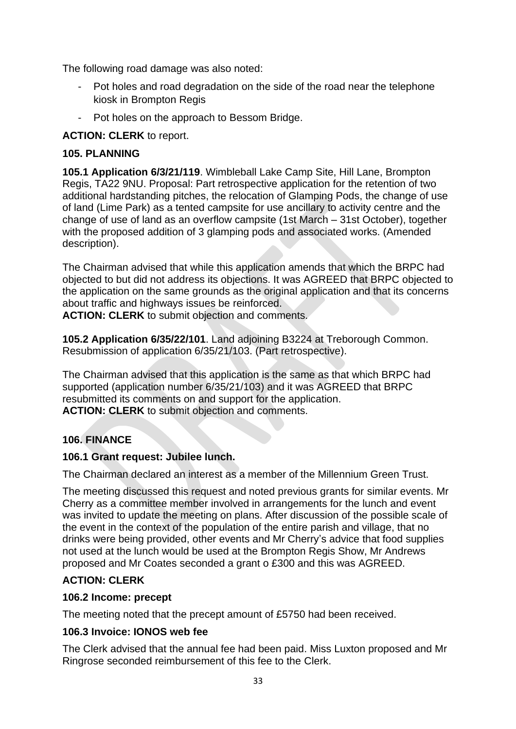The following road damage was also noted:

- Pot holes and road degradation on the side of the road near the telephone kiosk in Brompton Regis
- Pot holes on the approach to Bessom Bridge.

## **ACTION: CLERK** to report.

## **105. PLANNING**

**105.1 Application 6/3/21/119**. Wimbleball Lake Camp Site, Hill Lane, Brompton Regis, TA22 9NU. Proposal: Part retrospective application for the retention of two additional hardstanding pitches, the relocation of Glamping Pods, the change of use of land (Lime Park) as a tented campsite for use ancillary to activity centre and the change of use of land as an overflow campsite (1st March – 31st October), together with the proposed addition of 3 glamping pods and associated works. (Amended description).

The Chairman advised that while this application amends that which the BRPC had objected to but did not address its objections. It was AGREED that BRPC objected to the application on the same grounds as the original application and that its concerns about traffic and highways issues be reinforced.

**ACTION: CLERK** to submit objection and comments.

**105.2 Application 6/35/22/101**. Land adjoining B3224 at Treborough Common. Resubmission of application 6/35/21/103. (Part retrospective).

The Chairman advised that this application is the same as that which BRPC had supported (application number 6/35/21/103) and it was AGREED that BRPC resubmitted its comments on and support for the application. **ACTION: CLERK** to submit objection and comments.

# **106. FINANCE**

## **106.1 Grant request: Jubilee lunch.**

The Chairman declared an interest as a member of the Millennium Green Trust.

The meeting discussed this request and noted previous grants for similar events. Mr Cherry as a committee member involved in arrangements for the lunch and event was invited to update the meeting on plans. After discussion of the possible scale of the event in the context of the population of the entire parish and village, that no drinks were being provided, other events and Mr Cherry's advice that food supplies not used at the lunch would be used at the Brompton Regis Show, Mr Andrews proposed and Mr Coates seconded a grant o £300 and this was AGREED.

## **ACTION: CLERK**

## **106.2 Income: precept**

The meeting noted that the precept amount of £5750 had been received.

## **106.3 Invoice: IONOS web fee**

The Clerk advised that the annual fee had been paid. Miss Luxton proposed and Mr Ringrose seconded reimbursement of this fee to the Clerk.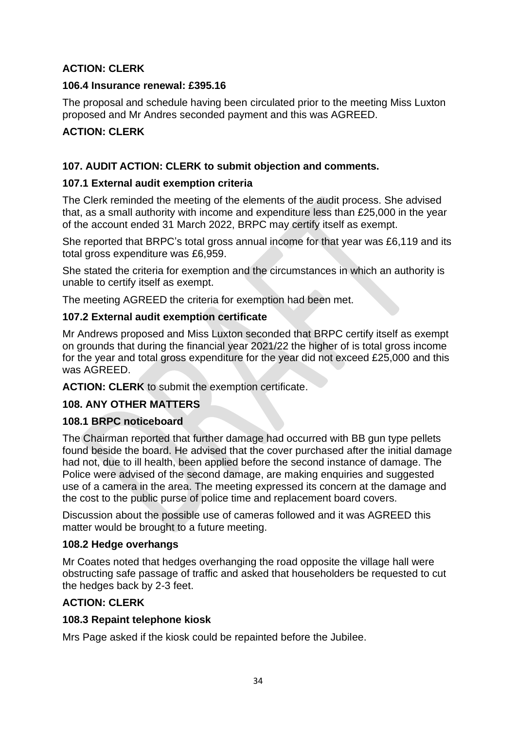## **ACTION: CLERK**

#### **106.4 Insurance renewal: £395.16**

The proposal and schedule having been circulated prior to the meeting Miss Luxton proposed and Mr Andres seconded payment and this was AGREED.

## **ACTION: CLERK**

#### **107. AUDIT ACTION: CLERK to submit objection and comments.**

#### **107.1 External audit exemption criteria**

The Clerk reminded the meeting of the elements of the audit process. She advised that, as a small authority with income and expenditure less than £25,000 in the year of the account ended 31 March 2022, BRPC may certify itself as exempt.

She reported that BRPC's total gross annual income for that year was £6,119 and its total gross expenditure was £6,959.

She stated the criteria for exemption and the circumstances in which an authority is unable to certify itself as exempt.

The meeting AGREED the criteria for exemption had been met.

#### **107.2 External audit exemption certificate**

Mr Andrews proposed and Miss Luxton seconded that BRPC certify itself as exempt on grounds that during the financial year 2021/22 the higher of is total gross income for the year and total gross expenditure for the year did not exceed £25,000 and this was AGREED.

**ACTION: CLERK** to submit the exemption certificate.

## **108. ANY OTHER MATTERS**

#### **108.1 BRPC noticeboard**

The Chairman reported that further damage had occurred with BB gun type pellets found beside the board. He advised that the cover purchased after the initial damage had not, due to ill health, been applied before the second instance of damage. The Police were advised of the second damage, are making enquiries and suggested use of a camera in the area. The meeting expressed its concern at the damage and the cost to the public purse of police time and replacement board covers.

Discussion about the possible use of cameras followed and it was AGREED this matter would be brought to a future meeting.

#### **108.2 Hedge overhangs**

Mr Coates noted that hedges overhanging the road opposite the village hall were obstructing safe passage of traffic and asked that householders be requested to cut the hedges back by 2-3 feet.

#### **ACTION: CLERK**

#### **108.3 Repaint telephone kiosk**

Mrs Page asked if the kiosk could be repainted before the Jubilee.